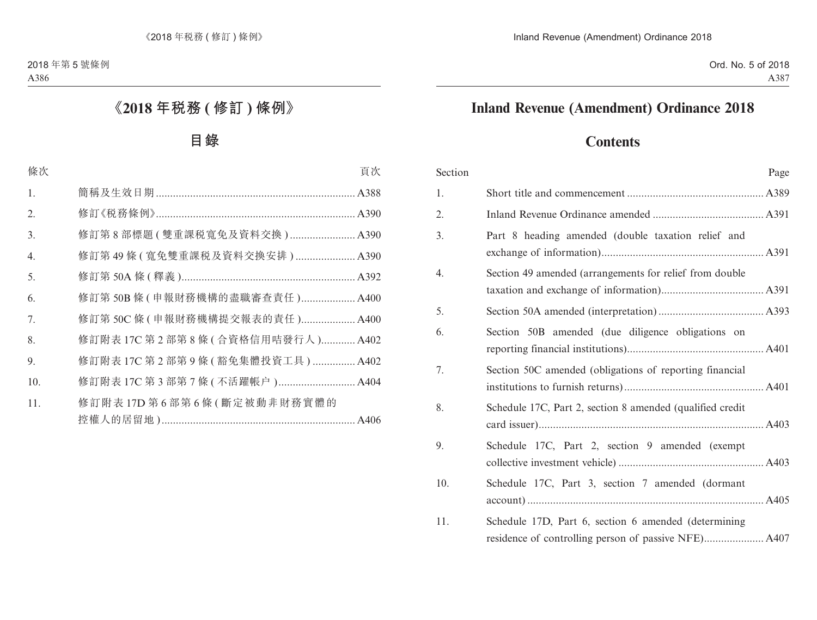# **Inland Revenue (Amendment) Ordinance 2018**

# **Contents**

| Section |                                                           | Page |
|---------|-----------------------------------------------------------|------|
| 1.      |                                                           |      |
| 2.      |                                                           |      |
| 3.      | Part 8 heading amended (double taxation relief and        |      |
| 4.      | Section 49 amended (arrangements for relief from double   |      |
| 5.      |                                                           |      |
| 6.      | Section 50B amended (due diligence obligations on         |      |
| 7.      | Section 50C amended (obligations of reporting financial   |      |
| 8.      | Schedule 17C, Part 2, section 8 amended (qualified credit |      |
| 9.      | Schedule 17C, Part 2, section 9 amended (exempt           |      |
| 10.     | Schedule 17C, Part 3, section 7 amended (dormant          |      |
| 11.     | Schedule 17D, Part 6, section 6 amended (determining      |      |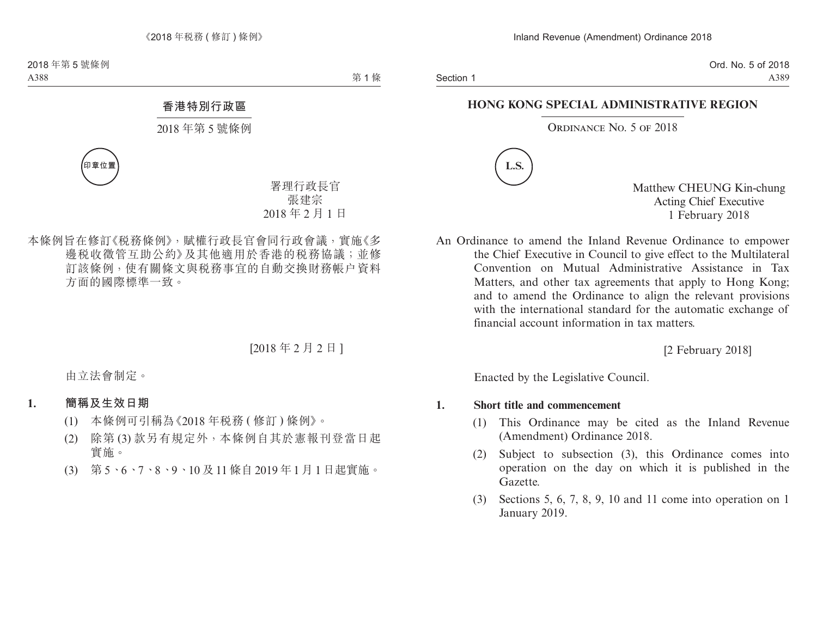#### **HONG KONG SPECIAL ADMINISTRATIVE REGION**

#### ORDINANCE NO. 5 OF 2018



Matthew CHEUNG Kin-chung Acting Chief Executive 1 February 2018

An Ordinance to amend the Inland Revenue Ordinance to empower the Chief Executive in Council to give effect to the Multilateral Convention on Mutual Administrative Assistance in Tax Matters, and other tax agreements that apply to Hong Kong; and to amend the Ordinance to align the relevant provisions with the international standard for the automatic exchange of financial account information in tax matters.

[2 February 2018]

Enacted by the Legislative Council.

#### **1. Short title and commencement**

- (1) This Ordinance may be cited as the Inland Revenue (Amendment) Ordinance 2018.
- (2) Subject to subsection (3), this Ordinance comes into operation on the day on which it is published in the Gazette.
- (3) Sections 5, 6, 7, 8, 9, 10 and 11 come into operation on 1 January 2019.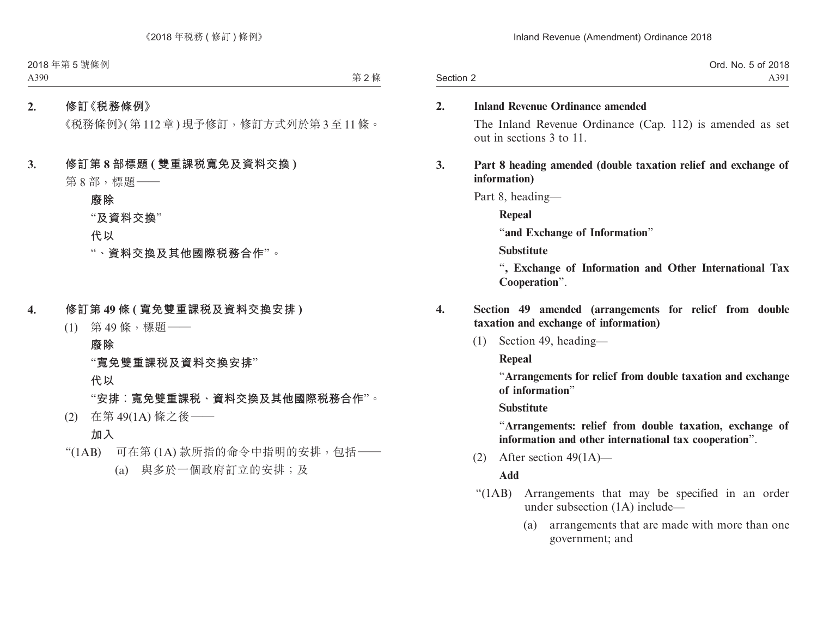|           | Ord. No. 5 of 2018 |
|-----------|--------------------|
| Section 2 | A391               |

#### **2. Inland Revenue Ordinance amended**

The Inland Revenue Ordinance (Cap. 112) is amended as set out in sections 3 to 11.

#### **3. Part 8 heading amended (double taxation relief and exchange of information)**

Part 8, heading—

**Repeal**

"**and Exchange of Information**"

**Substitute**

"**, Exchange of Information and Other International Tax Cooperation**".

- **4. Section 49 amended (arrangements for relief from double taxation and exchange of information)**
	- (1) Section 49, heading—

**Repeal**

"**Arrangements for relief from double taxation and exchange of information**"

**Substitute**

"**Arrangements: relief from double taxation, exchange of information and other international tax cooperation**".

(2) After section  $49(1A)$ —

- "(1AB) Arrangements that may be specified in an order under subsection (1A) include—
	- (a) arrangements that are made with more than one government; and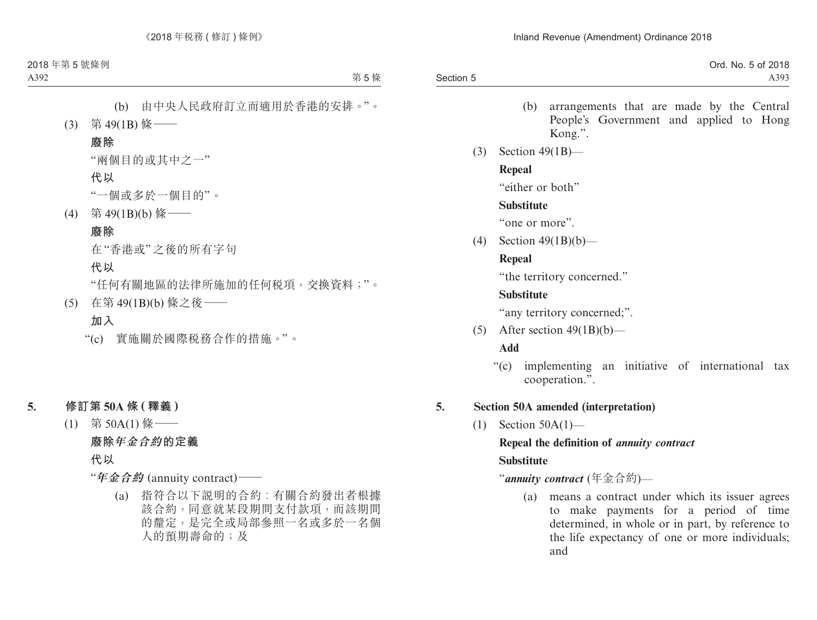|           | Ord. No. 5 of 2018 |
|-----------|--------------------|
| Section 5 | A393               |

- (b) arrangements that are made by the Central People's Government and applied to Hong Kong.".
- (3) Section 49(1B)—

#### **Repeal**

"either or both"

#### **Substitute**

"one or more".

(4) Section 49(1B)(b)—

## **Repeal**

"the territory concerned."

## **Substitute**

"any territory concerned;".

(5) After section  $49(1B)(b)$ —

## **Add**

"(c) implementing an initiative of international tax cooperation.".

## **5. Section 50A amended (interpretation)**

(1) Section 50A(1)—

## **Repeal the definition of** *annuity contract*

## **Substitute**

## "*annuity contract* (年金合約)—

(a) means a contract under which its issuer agrees to make payments for a period of time determined, in whole or in part, by reference to the life expectancy of one or more individuals; and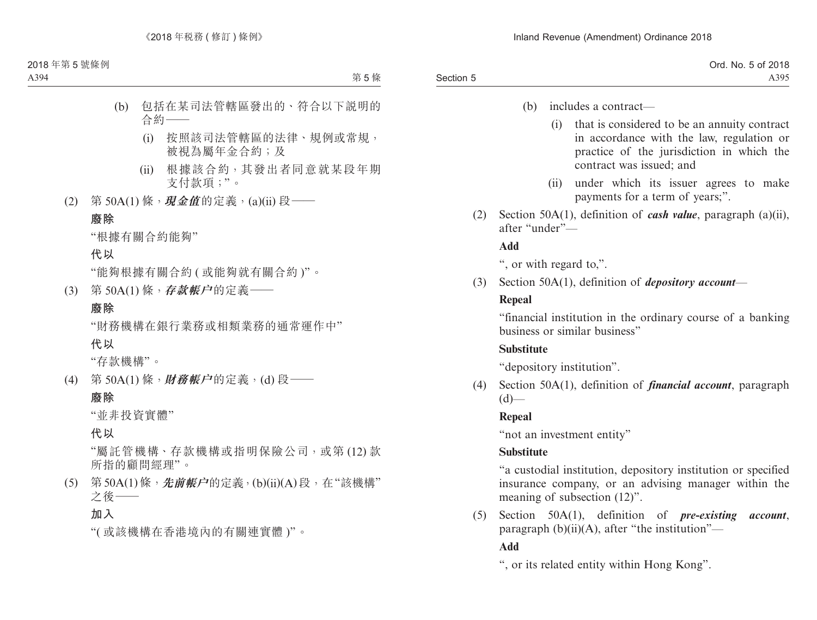## (b) includes a contract—

- (i) that is considered to be an annuity contract in accordance with the law, regulation or practice of the jurisdiction in which the contract was issued; and
- (ii) under which its issuer agrees to make payments for a term of years;".
- (2) Section 50A(1), definition of *cash value*, paragraph (a)(ii), after "under"—

### **Add**

", or with regard to,".

(3) Section 50A(1), definition of *depository account*—

## **Repeal**

"financial institution in the ordinary course of a banking business or similar business"

## **Substitute**

"depository institution".

(4) Section 50A(1), definition of *financial account*, paragraph  $(d)$ —

## **Repeal**

"not an investment entity"

## **Substitute**

"a custodial institution, depository institution or specified insurance company, or an advising manager within the meaning of subsection (12)".

(5) Section 50A(1), definition of *pre-existing account*, paragraph  $(b)(ii)(A)$ , after "the institution"— **Add**

", or its related entity within Hong Kong".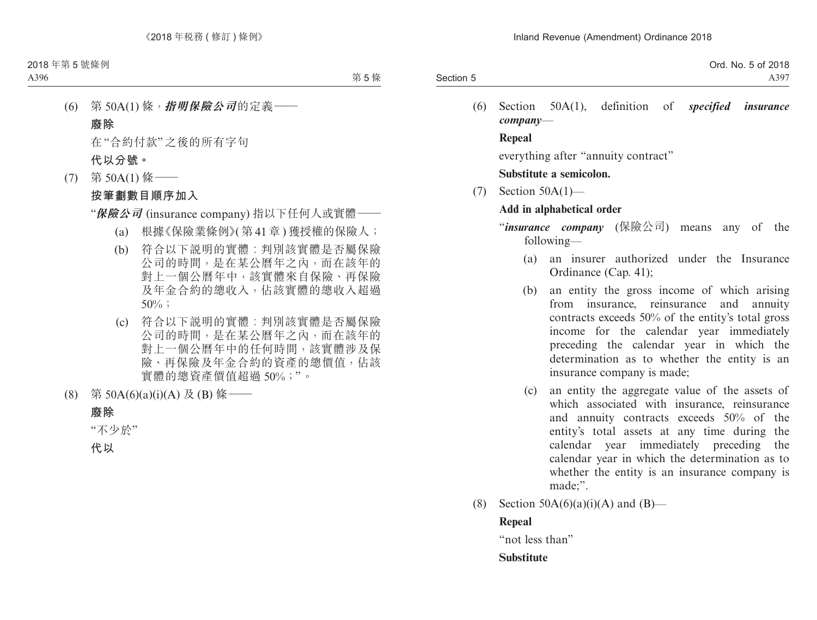|           | Ord. No. 5 of 2018 |
|-----------|--------------------|
| Section 5 | A397               |
|           |                    |

(6) Section 50A(1), definition of *specified insurance company*—

**Repeal**

everything after "annuity contract"

**Substitute a semicolon.**

(7) Section 50A(1)—

## **Add in alphabetical order**

- "*insurance company* (保險公司) means any of the following—
	- (a) an insurer authorized under the Insurance Ordinance (Cap. 41);
	- (b) an entity the gross income of which arising from insurance, reinsurance and annuity contracts exceeds 50% of the entity's total gross income for the calendar year immediately preceding the calendar year in which the determination as to whether the entity is an insurance company is made;
	- (c) an entity the aggregate value of the assets of which associated with insurance, reinsurance and annuity contracts exceeds 50% of the entity's total assets at any time during the calendar year immediately preceding the calendar year in which the determination as to whether the entity is an insurance company is made;".
- (8) Section  $50A(6)(a)(i)(A)$  and  $(B)$ —

## **Repeal**

"not less than"

## **Substitute**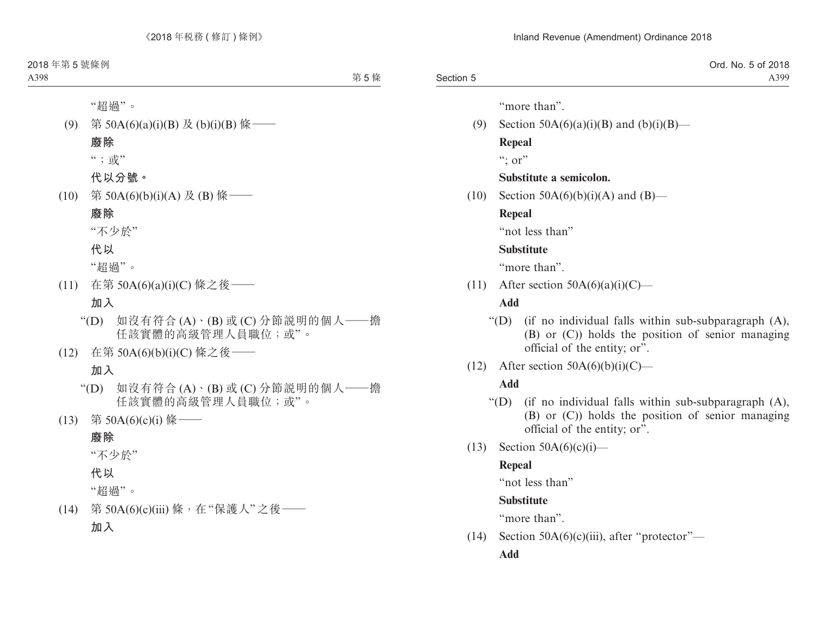|           | Ord. No. 5 of 2018 |
|-----------|--------------------|
| Section 5 | A399               |

"more than".

(9) Section  $50A(6)(a)(i)(B)$  and  $(b)(i)(B)$ —

**Repeal**

 $\cdots$  or"

### **Substitute a semicolon.**

 $(10)$  Section 50A(6)(b)(i)(A) and (B)—

#### **Repeal**

"not less than"

#### **Substitute**

"more than".

(11) After section  $50A(6)(a)(i)(C)$ —

### **Add**

- "(D) (if no individual falls within sub-subparagraph (A), (B) or (C)) holds the position of senior managing official of the entity; or".
- (12) After section  $50A(6)(b)(i)(C)$ —

## **Add**

- "(D) (if no individual falls within sub-subparagraph (A), (B) or (C)) holds the position of senior managing official of the entity; or".
- $(13)$  Section 50A(6)(c)(i)—

## **Repeal**

"not less than"

## **Substitute**

"more than".

(14) Section  $50A(6)(c)(iii)$ , after "protector"—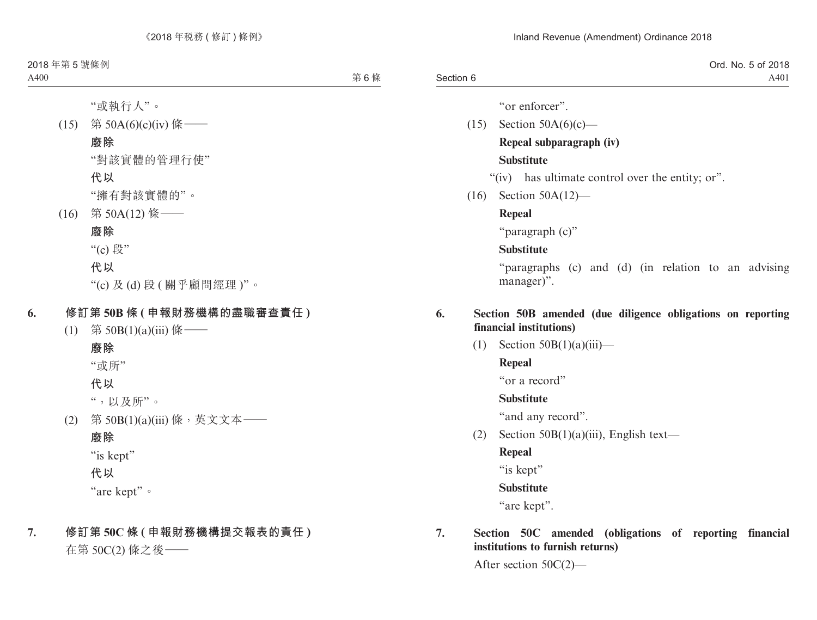|           | Ord. No. 5 of 2018 |
|-----------|--------------------|
| Section 6 | A401               |

"or enforcer".

- $(15)$  Section 50A $(6)(c)$  **Repeal subparagraph (iv) Substitute**
	- "(iv) has ultimate control over the entity; or".
- (16) Section 50A(12)—

## **Repeal**

"paragraph (c)"

## **Substitute**

"paragraphs (c) and (d) (in relation to an advising manager)".

### **6. Section 50B amended (due diligence obligations on reporting financial institutions)**

(1) Section  $50B(1)(a)(iii)$ —

## **Repeal**

"or a record"

## **Substitute**

"and any record".

(2) Section  $50B(1)(a)(iii)$ , English text—

## **Repeal**

"is kept"

## **Substitute**

"are kept".

## **7. Section 50C amended (obligations of reporting financial institutions to furnish returns)**

After section 50C(2)—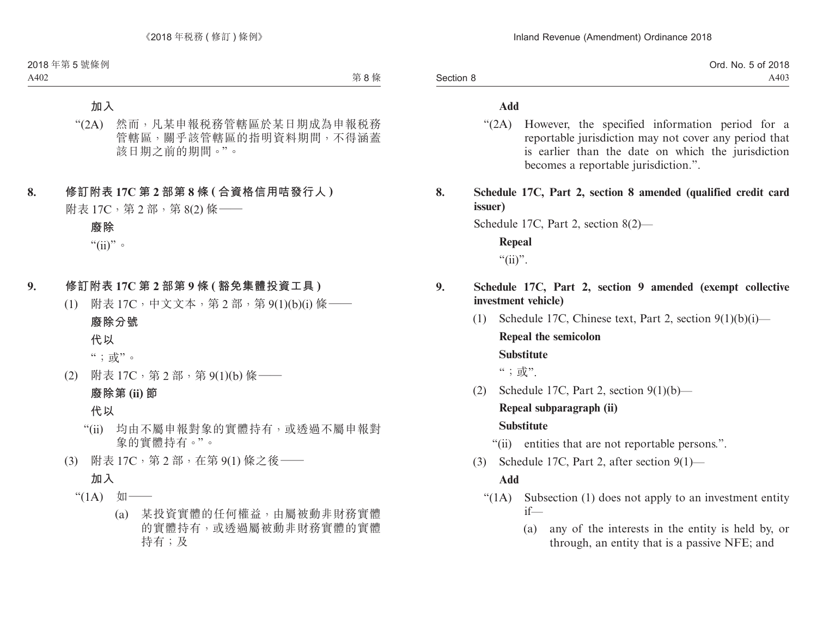|           | Ord. No. 5 of 2018 |
|-----------|--------------------|
| Section 8 | A403               |

#### **Add**

- "(2A) However, the specified information period for a reportable jurisdiction may not cover any period that is earlier than the date on which the jurisdiction becomes a reportable jurisdiction.".
- **8. Schedule 17C, Part 2, section 8 amended (qualified credit card issuer)**

Schedule 17C, Part 2, section 8(2)—

**Repeal** " $(ii)$ ".

### **9. Schedule 17C, Part 2, section 9 amended (exempt collective investment vehicle)**

- (1) Schedule 17C, Chinese text, Part 2, section  $9(1)(b)(i)$  **Repeal the semicolon Substitute**  $\lq\lq\lq\lq; \; \frac{1}{\Pi V}$ ".
- (2) Schedule 17C, Part 2, section  $9(1)(b)$ —

## **Repeal subparagraph (ii)**

#### **Substitute**

- "(ii) entities that are not reportable persons.".
- (3) Schedule 17C, Part 2, after section 9(1)—

- "(1A) Subsection (1) does not apply to an investment entity if—
	- (a) any of the interests in the entity is held by, or through, an entity that is a passive NFE; and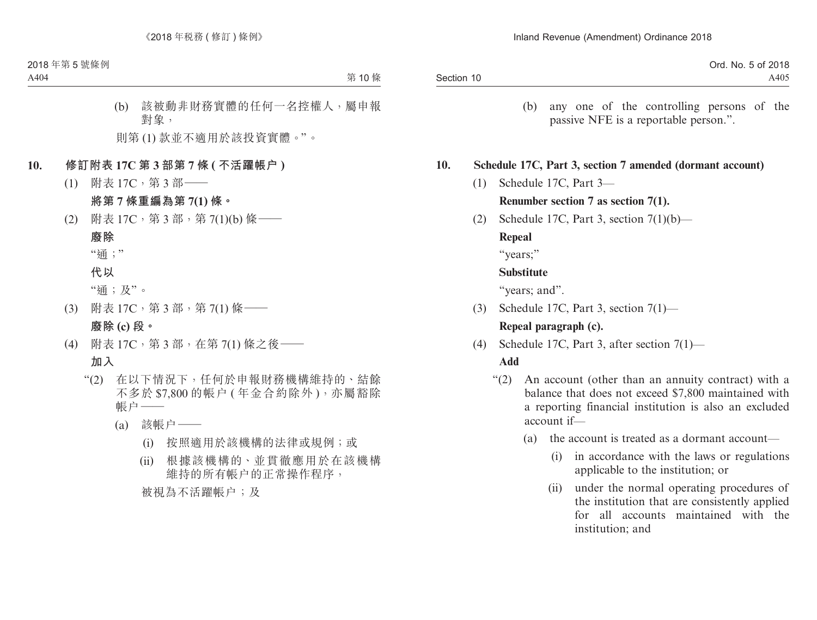|            | Ord. No. 5 of 2018 |
|------------|--------------------|
| Section 10 | A405               |

(b) any one of the controlling persons of the passive NFE is a reportable person.".

#### **10. Schedule 17C, Part 3, section 7 amended (dormant account)**

- (1) Schedule 17C, Part 3— **Renumber section 7 as section 7(1).**
- (2) Schedule 17C, Part 3, section  $7(1)(b)$ —

#### **Repeal**

"years;"

#### **Substitute**

"years; and".

- (3) Schedule 17C, Part 3, section 7(1)— **Repeal paragraph (c).**
- (4) Schedule 17C, Part 3, after section 7(1)—

- "(2) An account (other than an annuity contract) with a balance that does not exceed \$7,800 maintained with a reporting financial institution is also an excluded account if—
	- (a) the account is treated as a dormant account—
		- (i) in accordance with the laws or regulations applicable to the institution; or
		- (ii) under the normal operating procedures of the institution that are consistently applied for all accounts maintained with the institution; and